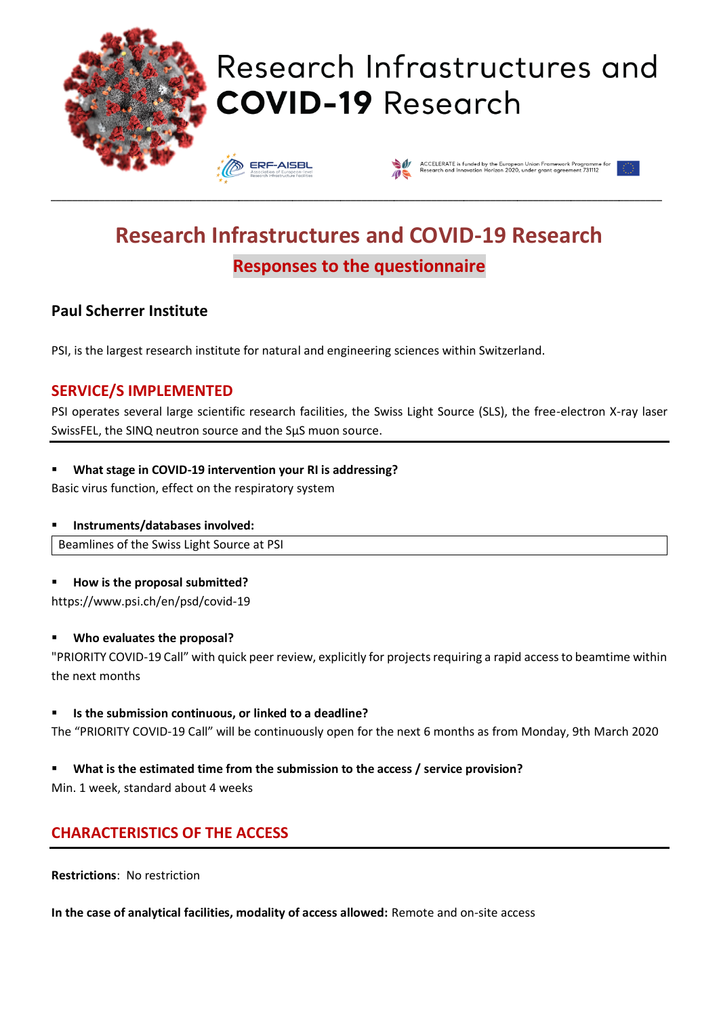

## Research Infrastructures and **COVID-19 Research**





### **Research Infrastructures and COVID-19 Research Responses to the questionnaire**

\_\_\_\_\_\_\_\_\_\_\_\_\_\_\_\_\_\_\_\_\_\_\_\_\_\_\_\_\_\_\_\_\_\_\_\_\_\_\_\_\_\_\_\_\_\_\_\_\_\_\_\_\_\_\_\_\_\_\_\_\_\_\_\_\_\_\_\_\_\_\_\_\_\_\_\_\_\_\_\_\_\_\_\_\_\_\_\_\_\_\_\_\_\_\_\_\_\_\_\_\_\_\_\_\_\_\_\_\_\_\_\_\_\_

### **Paul Scherrer Institute**

PSI, is the largest research institute for natural and engineering sciences within Switzerland.

### **SERVICE/S IMPLEMENTED**

PSI operates several large scientific research facilities, the Swiss Light Source (SLS), the free-electron X-ray laser SwissFEL, the SINQ neutron source and the SμS muon source.

#### ▪ **What stage in COVID-19 intervention your RI is addressing?**

Basic virus function, effect on the respiratory system

#### ▪ **Instruments/databases involved:**

Beamlines of the Swiss Light Source at PSI

#### ▪ **How is the proposal submitted?**

https://www.psi.ch/en/psd/covid-19

#### ▪ **Who evaluates the proposal?**

"PRIORITY COVID-19 Call" with quick peer review, explicitly for projects requiring a rapid access to beamtime within the next months

#### ▪ **Is the submission continuous, or linked to a deadline?**

The "PRIORITY COVID-19 Call" will be continuously open for the next 6 months as from Monday, 9th March 2020

#### ▪ **What is the estimated time from the submission to the access / service provision?**

Min. 1 week, standard about 4 weeks

#### **CHARACTERISTICS OF THE ACCESS**

**Restrictions**: No restriction

**In the case of analytical facilities, modality of access allowed:** Remote and on-site access